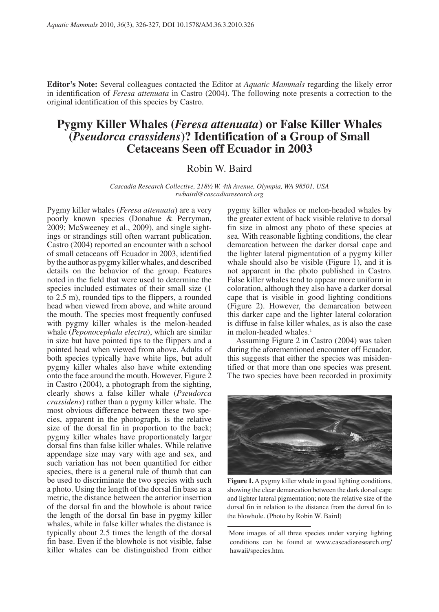**Editor's Note:** Several colleagues contacted the Editor at *Aquatic Mammals* regarding the likely error in identification of *Feresa attenuata* in Castro (2004). The following note presents a correction to the original identification of this species by Castro.

## **Pygmy Killer Whales (***Feresa attenuata***) or False Killer Whales (***Pseudorca crassidens***)? Identification of a Group of Small Cetaceans Seen off Ecuador in 2003**

## Robin W. Baird

*Cascadia Research Collective, 218½ W. 4th Avenue, Olympia, WA 98501, USA rwbaird@cascadiaresearch.org*

Pygmy killer whales (*Feresa attenuata*) are a very poorly known species (Donahue & Perryman, 2009; McSweeney et al., 2009), and single sightings or strandings still often warrant publication. Castro (2004) reported an encounter with a school of small cetaceans off Ecuador in 2003, identified by the author as pygmy killer whales, and described details on the behavior of the group. Features noted in the field that were used to determine the species included estimates of their small size (1 to 2.5 m), rounded tips to the flippers, a rounded head when viewed from above, and white around the mouth. The species most frequently confused with pygmy killer whales is the melon-headed whale (*Peponocephala electra*), which are similar in size but have pointed tips to the flippers and a pointed head when viewed from above. Adults of both species typically have white lips, but adult pygmy killer whales also have white extending onto the face around the mouth. However, Figure 2 in Castro (2004), a photograph from the sighting, clearly shows a false killer whale (*Pseudorca crassidens*) rather than a pygmy killer whale. The most obvious difference between these two species, apparent in the photograph, is the relative size of the dorsal fin in proportion to the back; pygmy killer whales have proportionately larger dorsal fins than false killer whales. While relative appendage size may vary with age and sex, and such variation has not been quantified for either species, there is a general rule of thumb that can be used to discriminate the two species with such a photo. Using the length of the dorsal fin base as a metric, the distance between the anterior insertion of the dorsal fin and the blowhole is about twice the length of the dorsal fin base in pygmy killer whales, while in false killer whales the distance is typically about 2.5 times the length of the dorsal fin base. Even if the blowhole is not visible, false killer whales can be distinguished from either

pygmy killer whales or melon-headed whales by the greater extent of back visible relative to dorsal fin size in almost any photo of these species at sea. With reasonable lighting conditions, the clear demarcation between the darker dorsal cape and the lighter lateral pigmentation of a pygmy killer whale should also be visible (Figure 1), and it is not apparent in the photo published in Castro. False killer whales tend to appear more uniform in coloration, although they also have a darker dorsal cape that is visible in good lighting conditions (Figure 2). However, the demarcation between this darker cape and the lighter lateral coloration is diffuse in false killer whales, as is also the case in melon-headed whales.<sup>1</sup>

Assuming Figure 2 in Castro (2004) was taken during the aforementioned encounter off Ecuador, this suggests that either the species was misidentified or that more than one species was present. The two species have been recorded in proximity



**Figure 1.** A pygmy killer whale in good lighting conditions, showing the clear demarcation between the dark dorsal cape and lighter lateral pigmentation; note the relative size of the dorsal fin in relation to the distance from the dorsal fin to the blowhole. (Photo by Robin W. Baird)

<sup>1</sup> More images of all three species under varying lighting conditions can be found at www.cascadiaresearch.org/ hawaii/species.htm.